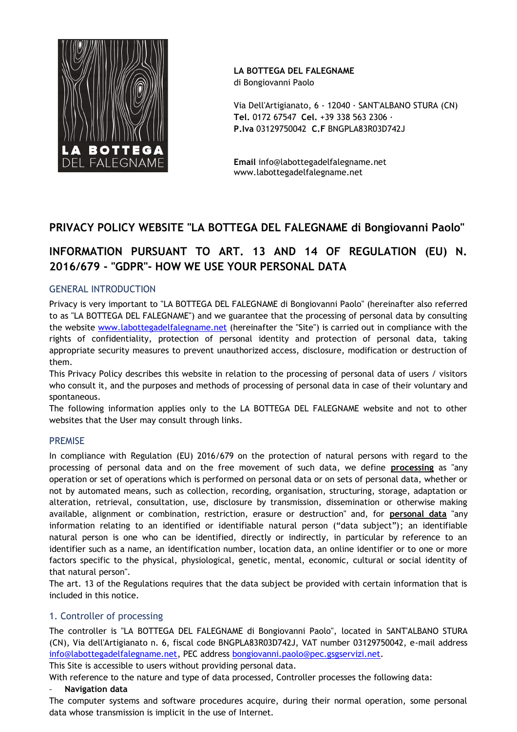

**LA BOTTEGA DEL FALEGNAME**

di Bongiovanni Paolo

Via Dell'Artigianato, 6 - 12040 ∙ SANT'ALBANO STURA (CN) **Tel.** 0172 67547 **Cel.** +39 338 563 2306 ∙ **P.Iva** 03129750042 **C.F** BNGPLA83R03D742J

**Email** info@labottegadelfalegname.net www.labottegadelfalegname.net

## **PRIVACY POLICY WEBSITE "LA BOTTEGA DEL FALEGNAME di Bongiovanni Paolo"**

# **INFORMATION PURSUANT TO ART. 13 AND 14 OF REGULATION (EU) N. 2016/679 - "GDPR"- HOW WE USE YOUR PERSONAL DATA**

## GENERAL INTRODUCTION

Privacy is very important to "LA BOTTEGA DEL FALEGNAME di Bongiovanni Paolo" (hereinafter also referred to as "LA BOTTEGA DEL FALEGNAME") and we guarantee that the processing of personal data by consulting the website [www.labottegadelfalegname.net](http://www.labottegadelfalegname.net/) (hereinafter the "Site") is carried out in compliance with the rights of confidentiality, protection of personal identity and protection of personal data, taking appropriate security measures to prevent unauthorized access, disclosure, modification or destruction of them.

This Privacy Policy describes this website in relation to the processing of personal data of users / visitors who consult it, and the purposes and methods of processing of personal data in case of their voluntary and spontaneous.

The following information applies only to the LA BOTTEGA DEL FALEGNAME website and not to other websites that the User may consult through links.

## PREMISE

In compliance with Regulation (EU) 2016/679 on the protection of natural persons with regard to the processing of personal data and on the free movement of such data, we define **processing** as "any operation or set of operations which is performed on personal data or on sets of personal data, whether or not by automated means, such as collection, recording, organisation, structuring, storage, adaptation or alteration, retrieval, consultation, use, disclosure by transmission, dissemination or otherwise making available, alignment or combination, restriction, erasure or destruction" and, for **personal data** "any information relating to an identified or identifiable natural person ("data subject"); an identifiable natural person is one who can be identified, directly or indirectly, in particular by reference to an identifier such as a name, an identification number, location data, an online identifier or to one or more factors specific to the physical, physiological, genetic, mental, economic, cultural or social identity of that natural person".

The art. 13 of the Regulations requires that the data subject be provided with certain information that is included in this notice.

## 1. Controller of processing

The controller is "LA BOTTEGA DEL FALEGNAME di Bongiovanni Paolo", located in SANT'ALBANO STURA (CN), Via dell'Artigianato n. 6, fiscal code BNGPLA83R03D742J, VAT number 03129750042, e-mail address [info@labottegadelfalegname.net,](mailto:info@labottegadelfalegname.net) PEC address [bongiovanni.paolo@pec.gsgservizi.net.](mailto:bongiovanni.paolo@pec.gsgservizi.net)

This Site is accessible to users without providing personal data.

With reference to the nature and type of data processed, Controller processes the following data:

#### - **Navigation data**

The computer systems and software procedures acquire, during their normal operation, some personal data whose transmission is implicit in the use of Internet.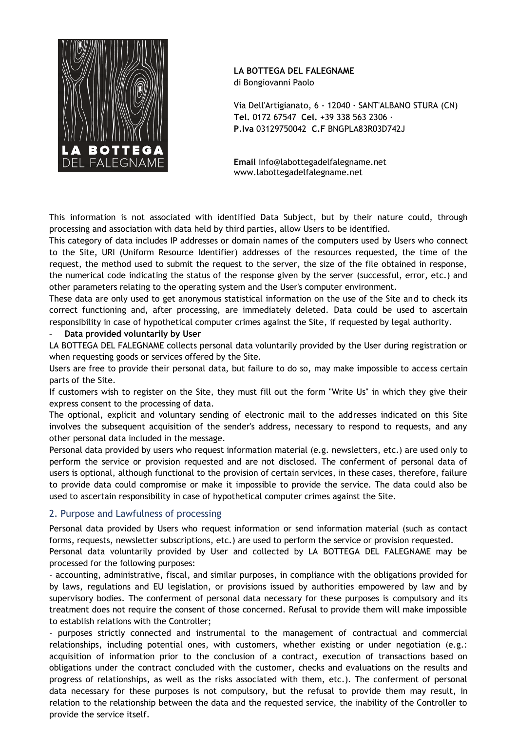

## **LA BOTTEGA DEL FALEGNAME**

di Bongiovanni Paolo

Via Dell'Artigianato, 6 - 12040 ∙ SANT'ALBANO STURA (CN) **Tel.** 0172 67547 **Cel.** +39 338 563 2306 ∙ **P.Iva** 03129750042 **C.F** BNGPLA83R03D742J

**Email** info@labottegadelfalegname.net www.labottegadelfalegname.net

This information is not associated with identified Data Subject, but by their nature could, through processing and association with data held by third parties, allow Users to be identified.

This category of data includes IP addresses or domain names of the computers used by Users who connect to the Site, URI (Uniform Resource Identifier) addresses of the resources requested, the time of the request, the method used to submit the request to the server, the size of the file obtained in response, the numerical code indicating the status of the response given by the server (successful, error, etc.) and other parameters relating to the operating system and the User's computer environment.

These data are only used to get anonymous statistical information on the use of the Site and to check its correct functioning and, after processing, are immediately deleted. Data could be used to ascertain responsibility in case of hypothetical computer crimes against the Site, if requested by legal authority.

#### Data provided voluntarily by User

LA BOTTEGA DEL FALEGNAME collects personal data voluntarily provided by the User during registration or when requesting goods or services offered by the Site.

Users are free to provide their personal data, but failure to do so, may make impossible to access certain parts of the Site.

If customers wish to register on the Site, they must fill out the form "Write Us" in which they give their express consent to the processing of data.

The optional, explicit and voluntary sending of electronic mail to the addresses indicated on this Site involves the subsequent acquisition of the sender's address, necessary to respond to requests, and any other personal data included in the message.

Personal data provided by users who request information material (e.g. newsletters, etc.) are used only to perform the service or provision requested and are not disclosed. The conferment of personal data of users is optional, although functional to the provision of certain services, in these cases, therefore, failure to provide data could compromise or make it impossible to provide the service. The data could also be used to ascertain responsibility in case of hypothetical computer crimes against the Site.

#### 2. Purpose and Lawfulness of processing

Personal data provided by Users who request information or send information material (such as contact forms, requests, newsletter subscriptions, etc.) are used to perform the service or provision requested.

Personal data voluntarily provided by User and collected by LA BOTTEGA DEL FALEGNAME may be processed for the following purposes:

- accounting, administrative, fiscal, and similar purposes, in compliance with the obligations provided for by laws, regulations and EU legislation, or provisions issued by authorities empowered by law and by supervisory bodies. The conferment of personal data necessary for these purposes is compulsory and its treatment does not require the consent of those concerned. Refusal to provide them will make impossible to establish relations with the Controller;

- purposes strictly connected and instrumental to the management of contractual and commercial relationships, including potential ones, with customers, whether existing or under negotiation (e.g.: acquisition of information prior to the conclusion of a contract, execution of transactions based on obligations under the contract concluded with the customer, checks and evaluations on the results and progress of relationships, as well as the risks associated with them, etc.). The conferment of personal data necessary for these purposes is not compulsory, but the refusal to provide them may result, in relation to the relationship between the data and the requested service, the inability of the Controller to provide the service itself.